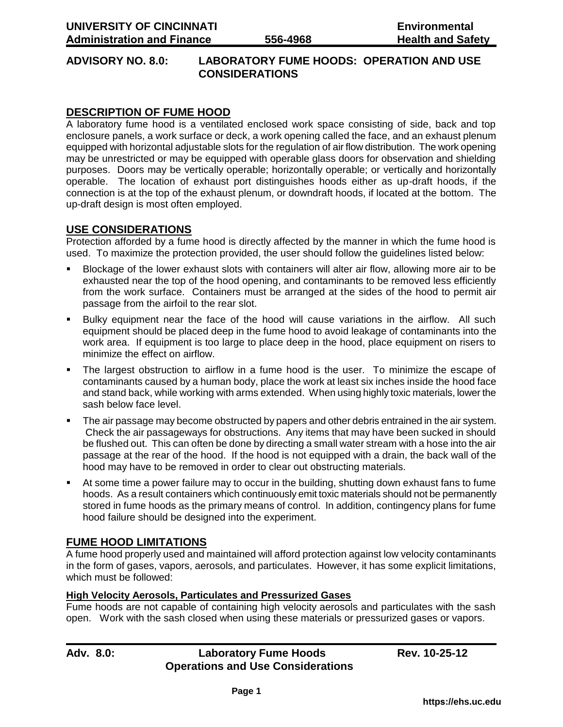#### **ADVISORY NO. 8.0: LABORATORY FUME HOODS: OPERATION AND USE CONSIDERATIONS**

## **DESCRIPTION OF FUME HOOD**

A laboratory fume hood is a ventilated enclosed work space consisting of side, back and top enclosure panels, a work surface or deck, a work opening called the face, and an exhaust plenum equipped with horizontal adjustable slots for the regulation of air flow distribution. The work opening may be unrestricted or may be equipped with operable glass doors for observation and shielding purposes. Doors may be vertically operable; horizontally operable; or vertically and horizontally operable. The location of exhaust port distinguishes hoods either as up-draft hoods, if the connection is at the top of the exhaust plenum, or downdraft hoods, if located at the bottom. The up-draft design is most often employed.

### **USE CONSIDERATIONS**

Protection afforded by a fume hood is directly affected by the manner in which the fume hood is used. To maximize the protection provided, the user should follow the guidelines listed below:

- Blockage of the lower exhaust slots with containers will alter air flow, allowing more air to be exhausted near the top of the hood opening, and contaminants to be removed less efficiently from the work surface. Containers must be arranged at the sides of the hood to permit air passage from the airfoil to the rear slot.
- Bulky equipment near the face of the hood will cause variations in the airflow. All such equipment should be placed deep in the fume hood to avoid leakage of contaminants into the work area. If equipment is too large to place deep in the hood, place equipment on risers to minimize the effect on airflow.
- The largest obstruction to airflow in a fume hood is the user. To minimize the escape of contaminants caused by a human body, place the work at least six inches inside the hood face and stand back, while working with arms extended. When using highly toxic materials, lower the sash below face level.
- The air passage may become obstructed by papers and other debris entrained in the air system. Check the air passageways for obstructions. Any items that may have been sucked in should be flushed out. This can often be done by directing a small water stream with a hose into the air passage at the rear of the hood. If the hood is not equipped with a drain, the back wall of the hood may have to be removed in order to clear out obstructing materials.
- At some time a power failure may to occur in the building, shutting down exhaust fans to fume hoods. As a result containers which continuously emit toxic materials should not be permanently stored in fume hoods as the primary means of control. In addition, contingency plans for fume hood failure should be designed into the experiment.

## **FUME HOOD LIMITATIONS**

A fume hood properly used and maintained will afford protection against low velocity contaminants in the form of gases, vapors, aerosols, and particulates. However, it has some explicit limitations, which must be followed:

#### **High Velocity Aerosols, Particulates and Pressurized Gases**

Fume hoods are not capable of containing high velocity aerosols and particulates with the sash open. Work with the sash closed when using these materials or pressurized gases or vapors.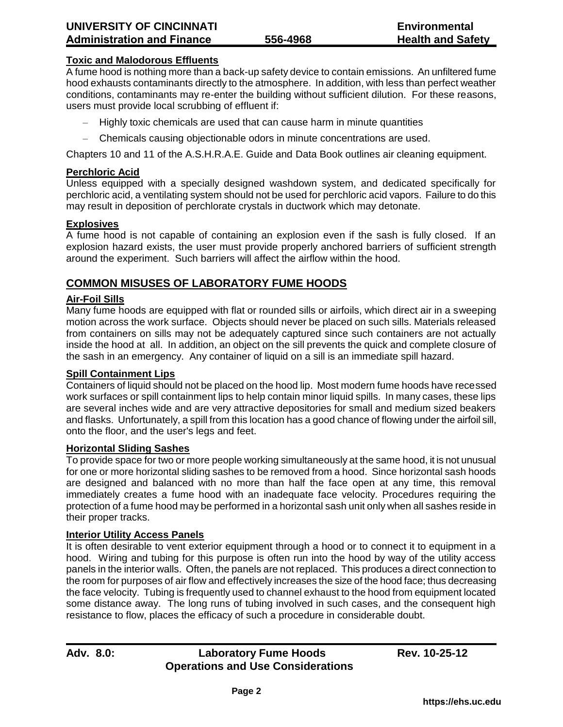#### **Toxic and Malodorous Effluents**

A fume hood is nothing more than a back-up safety device to contain emissions. An unfiltered fume hood exhausts contaminants directly to the atmosphere. In addition, with less than perfect weather conditions, contaminants may re-enter the building without sufficient dilution. For these reasons, users must provide local scrubbing of effluent if:

- Highly toxic chemicals are used that can cause harm in minute quantities
- Chemicals causing objectionable odors in minute concentrations are used.

Chapters 10 and 11 of the A.S.H.R.A.E. Guide and Data Book outlines air cleaning equipment.

#### **Perchloric Acid**

Unless equipped with a specially designed washdown system, and dedicated specifically for perchloric acid, a ventilating system should not be used for perchloric acid vapors. Failure to do this may result in deposition of perchlorate crystals in ductwork which may detonate.

#### **Explosives**

A fume hood is not capable of containing an explosion even if the sash is fully closed. If an explosion hazard exists, the user must provide properly anchored barriers of sufficient strength around the experiment. Such barriers will affect the airflow within the hood.

## **COMMON MISUSES OF LABORATORY FUME HOODS**

#### **Air-Foil Sills**

Many fume hoods are equipped with flat or rounded sills or airfoils, which direct air in a sweeping motion across the work surface. Objects should never be placed on such sills. Materials released from containers on sills may not be adequately captured since such containers are not actually inside the hood at all. In addition, an object on the sill prevents the quick and complete closure of the sash in an emergency. Any container of liquid on a sill is an immediate spill hazard.

#### **Spill Containment Lips**

Containers of liquid should not be placed on the hood lip. Most modern fume hoods have recessed work surfaces or spill containment lips to help contain minor liquid spills. In many cases, these lips are several inches wide and are very attractive depositories for small and medium sized beakers and flasks. Unfortunately, a spill from this location has a good chance of flowing under the airfoil sill, onto the floor, and the user's legs and feet.

#### **Horizontal Sliding Sashes**

To provide space for two or more people working simultaneously at the same hood, it is not unusual for one or more horizontal sliding sashes to be removed from a hood. Since horizontal sash hoods are designed and balanced with no more than half the face open at any time, this removal immediately creates a fume hood with an inadequate face velocity. Procedures requiring the protection of a fume hood may be performed in a horizontal sash unit only when all sashes reside in their proper tracks.

#### **Interior Utility Access Panels**

It is often desirable to vent exterior equipment through a hood or to connect it to equipment in a hood. Wiring and tubing for this purpose is often run into the hood by way of the utility access panels in the interior walls. Often, the panels are not replaced. This produces a direct connection to the room for purposes of air flow and effectively increases the size of the hood face; thus decreasing the face velocity. Tubing is frequently used to channel exhaust to the hood from equipment located some distance away. The long runs of tubing involved in such cases, and the consequent high resistance to flow, places the efficacy of such a procedure in considerable doubt.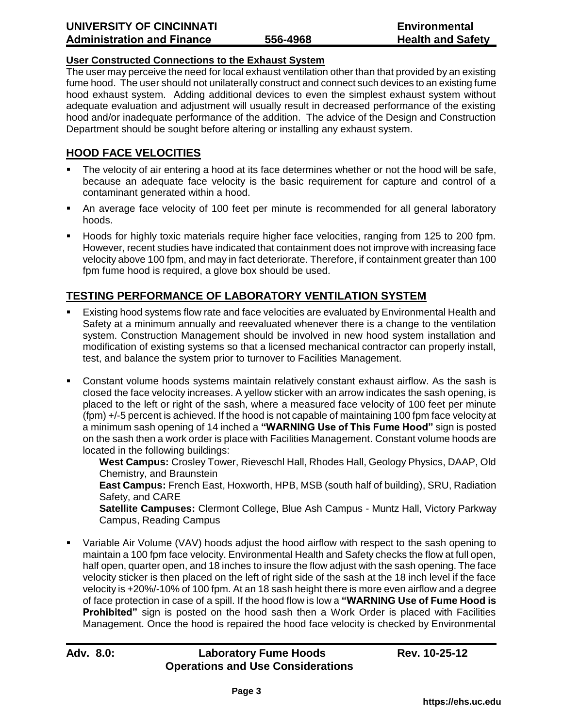## **User Constructed Connections to the Exhaust System**

The user may perceive the need for local exhaust ventilation other than that provided by an existing fume hood. The user should not unilaterally construct and connect such devices to an existing fume hood exhaust system. Adding additional devices to even the simplest exhaust system without adequate evaluation and adjustment will usually result in decreased performance of the existing hood and/or inadequate performance of the addition. The advice of the Design and Construction Department should be sought before altering or installing any exhaust system.

# **HOOD FACE VELOCITIES**

- The velocity of air entering a hood at its face determines whether or not the hood will be safe, because an adequate face velocity is the basic requirement for capture and control of a contaminant generated within a hood.
- An average face velocity of 100 feet per minute is recommended for all general laboratory hoods.
- Hoods for highly toxic materials require higher face velocities, ranging from 125 to 200 fpm. However, recent studies have indicated that containment does not improve with increasing face velocity above 100 fpm, and may in fact deteriorate. Therefore, if containment greater than 100 fpm fume hood is required, a glove box should be used.

# **TESTING PERFORMANCE OF LABORATORY VENTILATION SYSTEM**

- Existing hood systems flow rate and face velocities are evaluated by Environmental Health and Safety at a minimum annually and reevaluated whenever there is a change to the ventilation system. Construction Management should be involved in new hood system installation and modification of existing systems so that a licensed mechanical contractor can properly install, test, and balance the system prior to turnover to Facilities Management.
- Constant volume hoods systems maintain relatively constant exhaust airflow. As the sash is closed the face velocity increases. A yellow sticker with an arrow indicates the sash opening, is placed to the left or right of the sash, where a measured face velocity of 100 feet per minute (fpm) +/-5 percent is achieved. If the hood is not capable of maintaining 100 fpm face velocity at a minimum sash opening of 14 inched a **"WARNING Use of This Fume Hood"** sign is posted on the sash then a work order is place with Facilities Management. Constant volume hoods are located in the following buildings:

**West Campus:** Crosley Tower, Rieveschl Hall, Rhodes Hall, Geology Physics, DAAP, Old Chemistry, and Braunstein

**East Campus:** French East, Hoxworth, HPB, MSB (south half of building), SRU, Radiation Safety, and CARE

**Satellite Campuses:** Clermont College, Blue Ash Campus - Muntz Hall, Victory Parkway Campus, Reading Campus

 Variable Air Volume (VAV) hoods adjust the hood airflow with respect to the sash opening to maintain a 100 fpm face velocity. Environmental Health and Safety checks the flow at full open, half open, quarter open, and 18 inches to insure the flow adjust with the sash opening. The face velocity sticker is then placed on the left of right side of the sash at the 18 inch level if the face velocity is +20%/-10% of 100 fpm. At an 18 sash height there is more even airflow and a degree of face protection in case of a spill. If the hood flow is low a **"WARNING Use of Fume Hood is Prohibited"** sign is posted on the hood sash then a Work Order is placed with Facilities Management. Once the hood is repaired the hood face velocity is checked by Environmental

# Adv. 8.0: Laboratory Fume Hoods Rev. 10-25-12 **Operations and Use Considerations**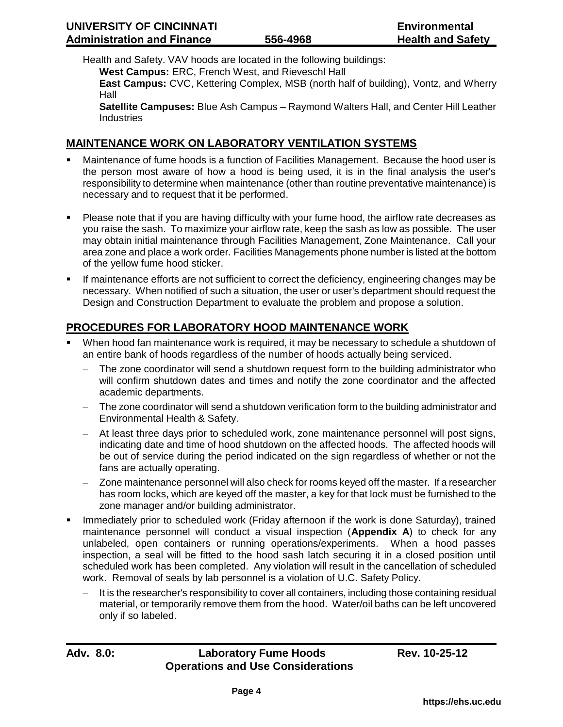Health and Safety. VAV hoods are located in the following buildings:

**West Campus:** ERC, French West, and Rieveschl Hall

**East Campus:** CVC, Kettering Complex, MSB (north half of building), Vontz, and Wherry Hall

**Satellite Campuses:** Blue Ash Campus – Raymond Walters Hall, and Center Hill Leather **Industries** 

## **MAINTENANCE WORK ON LABORATORY VENTILATION SYSTEMS**

- Maintenance of fume hoods is a function of Facilities Management. Because the hood user is the person most aware of how a hood is being used, it is in the final analysis the user's responsibility to determine when maintenance (other than routine preventative maintenance) is necessary and to request that it be performed.
- Please note that if you are having difficulty with your fume hood, the airflow rate decreases as you raise the sash. To maximize your airflow rate, keep the sash as low as possible. The user may obtain initial maintenance through Facilities Management, Zone Maintenance. Call your area zone and place a work order. Facilities Managements phone number is listed at the bottom of the yellow fume hood sticker.
- If maintenance efforts are not sufficient to correct the deficiency, engineering changes may be necessary. When notified of such a situation, the user or user's department should request the Design and Construction Department to evaluate the problem and propose a solution.

# **PROCEDURES FOR LABORATORY HOOD MAINTENANCE WORK**

- When hood fan maintenance work is required, it may be necessary to schedule a shutdown of an entire bank of hoods regardless of the number of hoods actually being serviced.
	- The zone coordinator will send a shutdown request form to the building administrator who will confirm shutdown dates and times and notify the zone coordinator and the affected academic departments.
	- The zone coordinator will send a shutdown verification form to the building administrator and Environmental Health & Safety.
	- At least three days prior to scheduled work, zone maintenance personnel will post signs, indicating date and time of hood shutdown on the affected hoods. The affected hoods will be out of service during the period indicated on the sign regardless of whether or not the fans are actually operating.
	- Zone maintenance personnel will also check for rooms keyed off the master. If a researcher has room locks, which are keyed off the master, a key for that lock must be furnished to the zone manager and/or building administrator.
- **IMMED 19 Immediately prior to scheduled work (Friday afternoon if the work is done Saturday), trained** maintenance personnel will conduct a visual inspection (**Appendix A**) to check for any unlabeled, open containers or running operations/experiments. When a hood passes inspection, a seal will be fitted to the hood sash latch securing it in a closed position until scheduled work has been completed. Any violation will result in the cancellation of scheduled work. Removal of seals by lab personnel is a violation of U.C. Safety Policy.
	- It is the researcher's responsibility to cover all containers, including those containing residual material, or temporarily remove them from the hood. Water/oil baths can be left uncovered only if so labeled.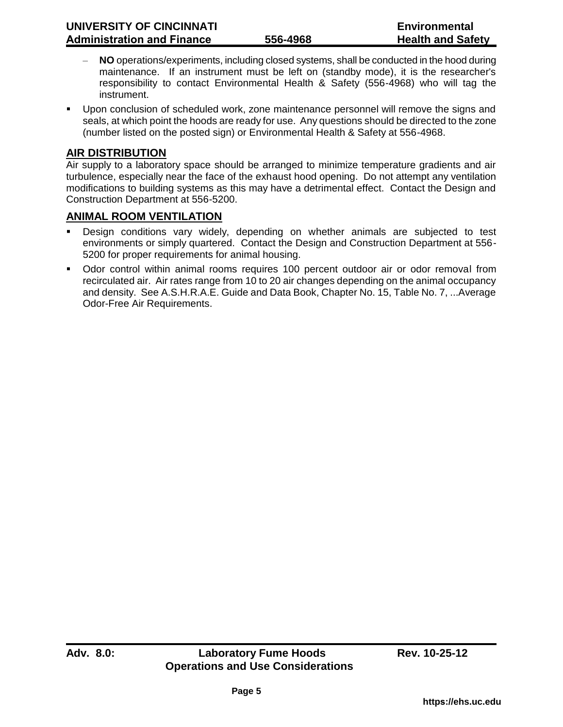- **NO** operations/experiments, including closed systems, shall be conducted in the hood during maintenance. If an instrument must be left on (standby mode), it is the researcher's responsibility to contact Environmental Health & Safety (556-4968) who will tag the instrument.
- Upon conclusion of scheduled work, zone maintenance personnel will remove the signs and seals, at which point the hoods are ready for use. Any questions should be directed to the zone (number listed on the posted sign) or Environmental Health & Safety at 556-4968.

## **AIR DISTRIBUTION**

Air supply to a laboratory space should be arranged to minimize temperature gradients and air turbulence, especially near the face of the exhaust hood opening. Do not attempt any ventilation modifications to building systems as this may have a detrimental effect. Contact the Design and Construction Department at 556-5200.

## **ANIMAL ROOM VENTILATION**

- Design conditions vary widely, depending on whether animals are subjected to test environments or simply quartered. Contact the Design and Construction Department at 556- 5200 for proper requirements for animal housing.
- Odor control within animal rooms requires 100 percent outdoor air or odor removal from recirculated air. Air rates range from 10 to 20 air changes depending on the animal occupancy and density. See A.S.H.R.A.E. Guide and Data Book, Chapter No. 15, Table No. 7, ...Average Odor-Free Air Requirements.